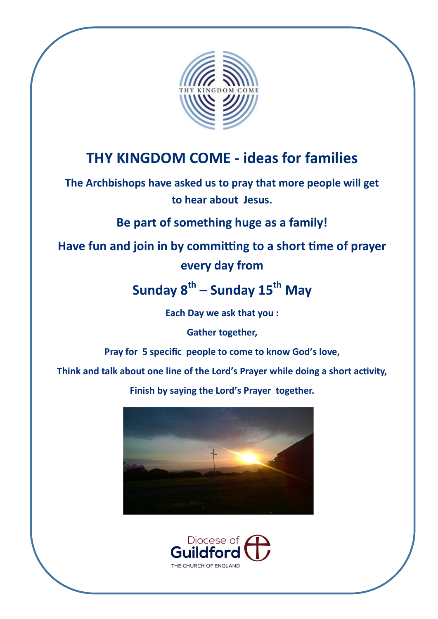

# **THY KINGDOM COME - ideas for families**

**The Archbishops have asked us to pray that more people will get to hear about Jesus.**

**Be part of something huge as a family!** 

# **Have fun and join in by committing to a short time of prayer every day from**

# **Sunday 8th – Sunday 15th May**

**Each Day we ask that you :**

**Gather together,**

**Pray for 5 specific people to come to know God's love,**

**Think and talk about one line of the Lord's Prayer while doing a short activity,** 

**Finish by saying the Lord's Prayer together.** 



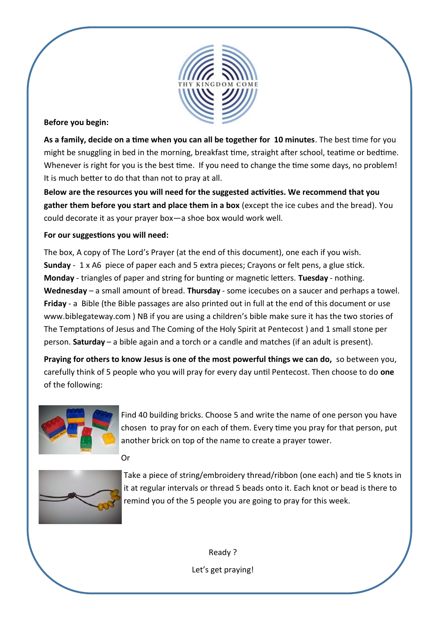

#### **Before you begin:**

**As a family, decide on a time when you can all be together for 10 minutes**. The best time for you might be snuggling in bed in the morning, breakfast time, straight after school, teatime or bedtime. Whenever is right for you is the best time. If you need to change the time some days, no problem! It is much better to do that than not to pray at all.

**Below are the resources you will need for the suggested activities. We recommend that you gather them before you start and place them in a box** (except the ice cubes and the bread). You could decorate it as your prayer box—a shoe box would work well.

#### **For our suggestions you will need:**

The box, A copy of The Lord's Prayer (at the end of this document), one each if you wish. **Sunday** - 1 x A6 piece of paper each and 5 extra pieces; Crayons or felt pens, a glue stick. **Monday** - triangles of paper and string for bunting or magnetic letters. **Tuesday** - nothing. **Wednesday** – a small amount of bread. **Thursday** - some icecubes on a saucer and perhaps a towel. **Friday** - a Bible (the Bible passages are also printed out in full at the end of this document or use [www.biblegateway.com](http://www.biblegateway.com) ) NB if you are using a children's bible make sure it has the two stories of The Temptations of Jesus and The Coming of the Holy Spirit at Pentecost ) and 1 small stone per person. **Saturday** – a bible again and a torch or a candle and matches (if an adult is present).

**Praying for others to know Jesus is one of the most powerful things we can do,** so between you, carefully think of 5 people who you will pray for every day until Pentecost. Then choose to do **one** of the following:



Find 40 building bricks. Choose 5 and write the name of one person you have chosen to pray for on each of them. Every time you pray for that person, put another brick on top of the name to create a prayer tower.

Or



Take a piece of string/embroidery thread/ribbon (one each) and tie 5 knots in it at regular intervals or thread 5 beads onto it. Each knot or bead is there to remind you of the 5 people you are going to pray for this week.

> Ready ? Let's get praying!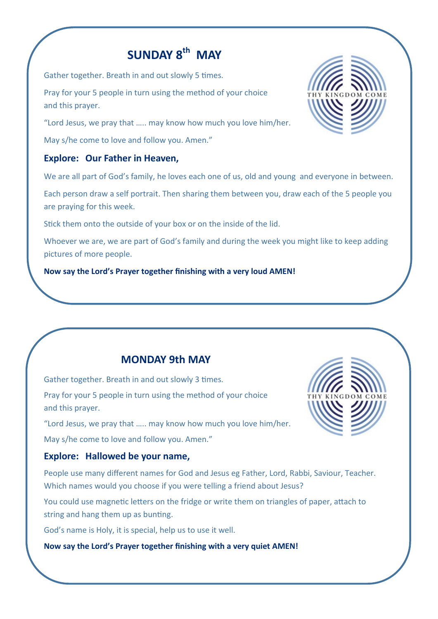# **SUNDAY 8th MAY**

Gather together. Breath in and out slowly 5 times.

Pray for your 5 people in turn using the method of your choice and this prayer.

"Lord Jesus, we pray that ….. may know how much you love him/her.

May s/he come to love and follow you. Amen."

### **Explore: Our Father in Heaven,**

We are all part of God's family, he loves each one of us, old and young and everyone in between.

Each person draw a self portrait. Then sharing them between you, draw each of the 5 people you are praying for this week.

Stick them onto the outside of your box or on the inside of the lid.

Whoever we are, we are part of God's family and during the week you might like to keep adding pictures of more people.

**Now say the Lord's Prayer together finishing with a very loud AMEN!**

## **MONDAY 9th MAY**

Gather together. Breath in and out slowly 3 times.

Pray for your 5 people in turn using the method of your choice and this prayer.

"Lord Jesus, we pray that ….. may know how much you love him/her.

May s/he come to love and follow you. Amen."

### **Explore: Hallowed be your name,**

People use many different names for God and Jesus eg Father, Lord, Rabbi, Saviour, Teacher. Which names would you choose if you were telling a friend about Jesus?

You could use magnetic letters on the fridge or write them on triangles of paper, attach to string and hang them up as bunting.

God's name is Holy, it is special, help us to use it well.

**Now say the Lord's Prayer together finishing with a very quiet AMEN!**



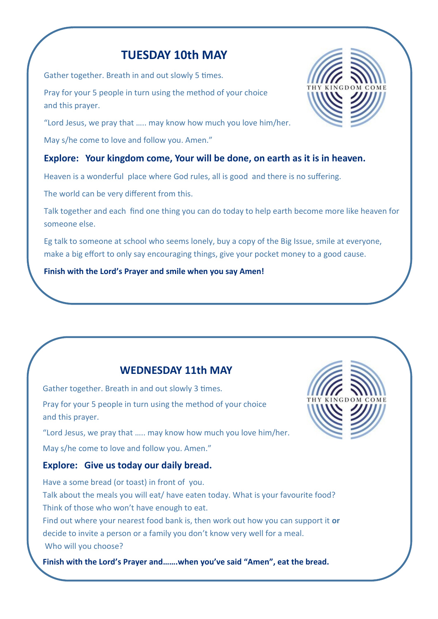## **TUESDAY 10th MAY**

Gather together. Breath in and out slowly 5 times.

Pray for your 5 people in turn using the method of your choice and this prayer.

"Lord Jesus, we pray that ….. may know how much you love him/her.

May s/he come to love and follow you. Amen."

## **Explore: Your kingdom come, Your will be done, on earth as it is in heaven.**

Heaven is a wonderful place where God rules, all is good and there is no suffering.

The world can be very different from this.

Talk together and each find one thing you can do today to help earth become more like heaven for someone else.

Eg talk to someone at school who seems lonely, buy a copy of the Big Issue, smile at everyone, make a big effort to only say encouraging things, give your pocket money to a good cause.

#### **Finish with the Lord's Prayer and smile when you say Amen!**

## **WEDNESDAY 11th MAY**

Gather together. Breath in and out slowly 3 times. Pray for your 5 people in turn using the method of your choice and this prayer.

"Lord Jesus, we pray that ….. may know how much you love him/her.

May s/he come to love and follow you. Amen."

### **Explore: Give us today our daily bread.**

Have a some bread (or toast) in front of you. Talk about the meals you will eat/ have eaten today. What is your favourite food? Think of those who won't have enough to eat. Find out where your nearest food bank is, then work out how you can support it **or** decide to invite a person or a family you don't know very well for a meal. Who will you choose?

**Finish with the Lord's Prayer and…….when you've said "Amen", eat the bread.**



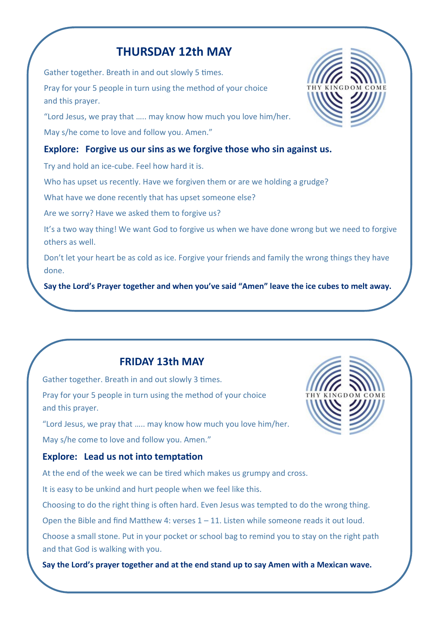## **THURSDAY 12th MAY**

Gather together. Breath in and out slowly 5 times. Pray for your 5 people in turn using the method of your choice and this prayer.

"Lord Jesus, we pray that ….. may know how much you love him/her. May s/he come to love and follow you. Amen."

### **Explore: Forgive us our sins as we forgive those who sin against us.**

Try and hold an ice-cube. Feel how hard it is.

Who has upset us recently. Have we forgiven them or are we holding a grudge?

What have we done recently that has upset someone else?

Are we sorry? Have we asked them to forgive us?

It's a two way thing! We want God to forgive us when we have done wrong but we need to forgive others as well.

Don't let your heart be as cold as ice. Forgive your friends and family the wrong things they have done.

**Say the Lord's Prayer together and when you've said "Amen" leave the ice cubes to melt away.** 

## **FRIDAY 13th MAY**

Gather together. Breath in and out slowly 3 times. Pray for your 5 people in turn using the method of your choice and this prayer.

"Lord Jesus, we pray that ….. may know how much you love him/her. May s/he come to love and follow you. Amen."

## **Explore: Lead us not into temptation**

At the end of the week we can be tired which makes us grumpy and cross.

It is easy to be unkind and hurt people when we feel like this.

Choosing to do the right thing is often hard. Even Jesus was tempted to do the wrong thing.

Open the Bible and find Matthew 4: verses 1 – 11. Listen while someone reads it out loud.

Choose a small stone. Put in your pocket or school bag to remind you to stay on the right path and that God is walking with you.

**Say the Lord's prayer together and at the end stand up to say Amen with a Mexican wave.**



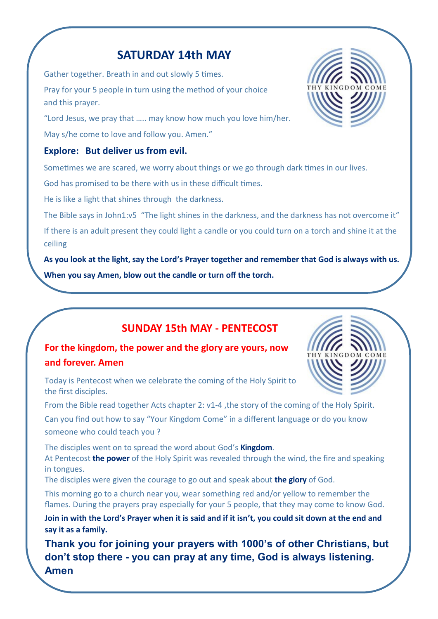## **SATURDAY 14th MAY**

Gather together. Breath in and out slowly 5 times. Pray for your 5 people in turn using the method of your choice and this prayer.

"Lord Jesus, we pray that ….. may know how much you love him/her. May s/he come to love and follow you. Amen."

### **Explore: But deliver us from evil.**

Sometimes we are scared, we worry about things or we go through dark times in our lives.

God has promised to be there with us in these difficult times.

He is like a light that shines through the darkness.

The Bible says in John1:v5 "The light shines in the darkness, and the darkness has not overcome it"

If there is an adult present they could light a candle or you could turn on a torch and shine it at the ceiling

**As you look at the light, say the Lord's Prayer together and remember that God is always with us. When you say Amen, blow out the candle or turn off the torch.**

## **SUNDAY 15th MAY - PENTECOST**

## **For the kingdom, the power and the glory are yours, now and forever. Amen**

Today is Pentecost when we celebrate the coming of the Holy Spirit to the first disciples.

From the Bible read together Acts chapter 2: v1-4, the story of the coming of the Holy Spirit. Can you find out how to say "Your Kingdom Come" in a different language or do you know someone who could teach you ?

The disciples went on to spread the word about God's **Kingdom**. At Pentecost **the power** of the Holy Spirit was revealed through the wind, the fire and speaking in tongues.

The disciples were given the courage to go out and speak about **the glory** of God.

This morning go to a church near you, wear something red and/or yellow to remember the flames. During the prayers pray especially for your 5 people, that they may come to know God.

**Join in with the Lord's Prayer when it is said and if it isn't, you could sit down at the end and say it as a family.**

**Thank you for joining your prayers with 1000's of other Christians, but don't stop there - you can pray at any time, God is always listening. Amen**